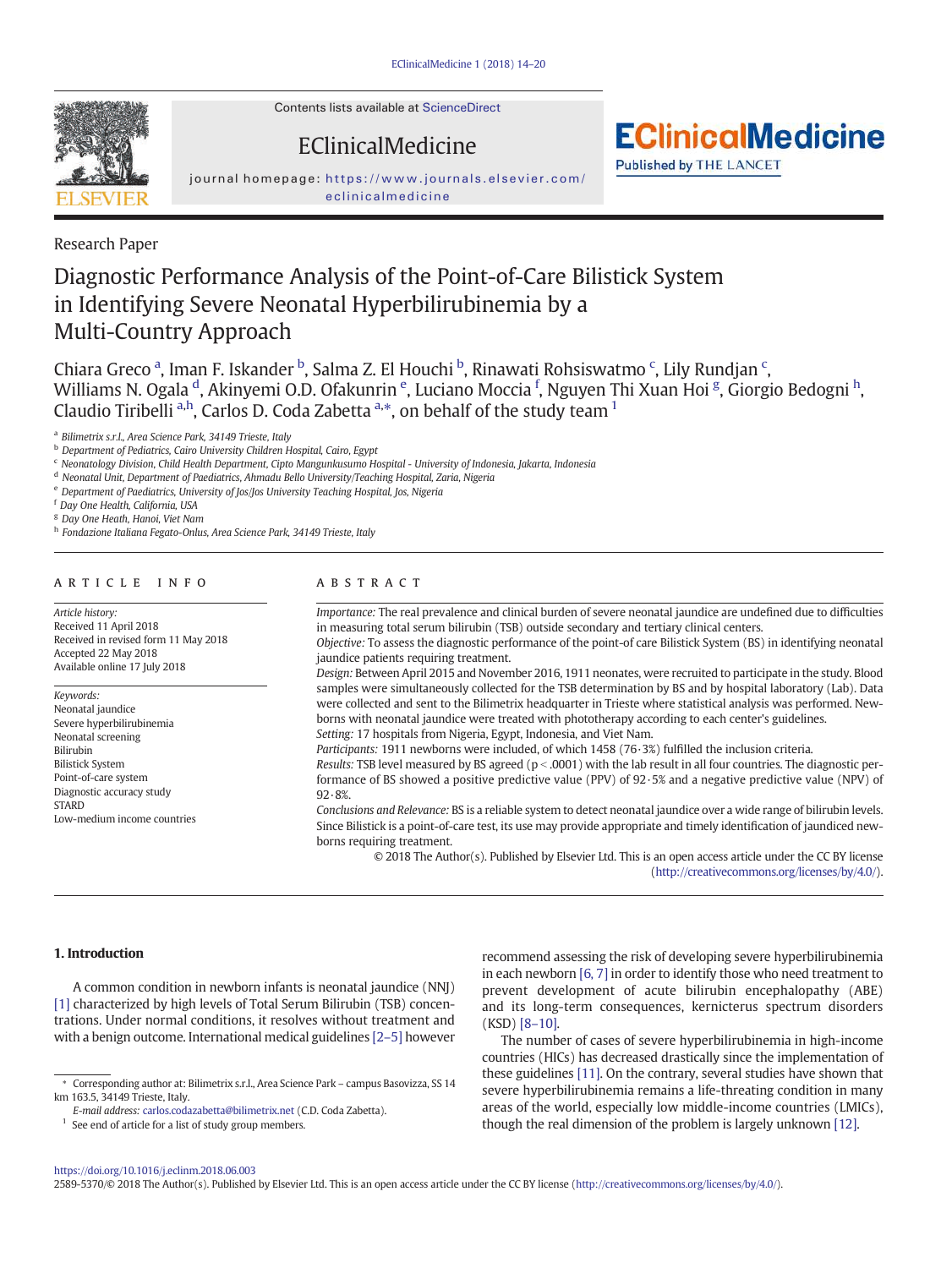Contents lists available at [ScienceDirect](http://www.sciencedirect.com/science/journal/25895370)

# EClinicalMedicine

journal homepage: [https://www.journals.elsevier.com/](https://www.journals.elsevier.com/eclinicalmedicine) [eclinicalmedicine](https://www.journals.elsevier.com/eclinicalmedicine)

Research Paper

# Diagnostic Performance Analysis of the Point-of-Care Bilistick System in Identifying Severe Neonatal Hyperbilirubinemia by a Multi-Country Approach

Chiara Greco<sup>a</sup>, Iman F. Iskander <sup>b</sup>, Salma Z. El Houchi <sup>b</sup>, Rinawati Rohsiswatmo <sup>c</sup>, Lily Rundjan <sup>c</sup>, Williams N. Ogala <sup>d</sup>, Akinyemi O.D. Ofakunrin <sup>e</sup>, Luciano Moccia <sup>f</sup>, Nguyen Thi Xuan Hoi <sup>g</sup>, Giorgio Bedogni <sup>h</sup>, Claudio Tiribelli a,h, Carlos D. Coda Zabetta  $a$ ,\*, on behalf of the study team  $1$ 

<sup>a</sup> Bilimetrix s.r.l., Area Science Park, 34149 Trieste, Italy

<sup>d</sup> Neonatal Unit, Department of Paediatrics, Ahmadu Bello University/Teaching Hospital, Zaria, Nigeria

<sup>e</sup> Department of Paediatrics, University of Jos/Jos University Teaching Hospital, Jos, Nigeria

<sup>f</sup> Day One Health, California, USA

<sup>g</sup> Day One Heath, Hanoi, Viet Nam

h Fondazione Italiana Fegato-Onlus, Area Science Park, 34149 Trieste, Italy

#### article info abstract

Article history: Received 11 April 2018 Received in revised form 11 May 2018 Accepted 22 May 2018 Available online 17 July 2018

Keywords: Neonatal jaundice Severe hyperbilirubinemia Neonatal screening Bilirubin Bilistick System Point-of-care system Diagnostic accuracy study **STARD** Low-medium income countries

Importance: The real prevalence and clinical burden of severe neonatal jaundice are undefined due to difficulties in measuring total serum bilirubin (TSB) outside secondary and tertiary clinical centers. Objective: To assess the diagnostic performance of the point-of care Bilistick System (BS) in identifying neonatal jaundice patients requiring treatment. Design: Between April 2015 and November 2016, 1911 neonates, were recruited to participate in the study. Blood samples were simultaneously collected for the TSB determination by BS and by hospital laboratory (Lab). Data were collected and sent to the Bilimetrix headquarter in Trieste where statistical analysis was performed. Newborns with neonatal jaundice were treated with phototherapy according to each center's guidelines. Setting: 17 hospitals from Nigeria, Egypt, Indonesia, and Viet Nam. Participants: 1911 newborns were included, of which 1458 (76·3%) fulfilled the inclusion criteria. Results: TSB level measured by BS agreed ( $p < .0001$ ) with the lab result in all four countries. The diagnostic performance of BS showed a positive predictive value (PPV) of 92·5% and a negative predictive value (NPV) of 92·8%. Conclusions and Relevance: BS is a reliable system to detect neonatal jaundice over a wide range of bilirubin levels. Since Bilistick is a point-of-care test, its use may provide appropriate and timely identification of jaundiced newborns requiring treatment.

© 2018 The Author(s). Published by Elsevier Ltd. This is an open access article under the CC BY license [\(http://creativecommons.org/licenses/by/4.0/](http://creativecommons.org/licenses/by/4.0/)).

### 1. Introduction

A common condition in newborn infants is neonatal jaundice (NNJ) [\[1\]](#page-6-0) characterized by high levels of Total Serum Bilirubin (TSB) concentrations. Under normal conditions, it resolves without treatment and with a benign outcome. International medical guidelines [\[2](#page-6-0)–5] however recommend assessing the risk of developing severe hyperbilirubinemia in each newborn [\[6, 7\]](#page-6-0) in order to identify those who need treatment to prevent development of acute bilirubin encephalopathy (ABE) and its long-term consequences, kernicterus spectrum disorders (KSD) [8–[10\].](#page-6-0)

**EClinicalMedicine** 

**Published by THE LANCET** 

The number of cases of severe hyperbilirubinemia in high-income countries (HICs) has decreased drastically since the implementation of these guidelines [\[11\]](#page-6-0). On the contrary, several studies have shown that severe hyperbilirubinemia remains a life-threating condition in many areas of the world, especially low middle-income countries (LMICs), though the real dimension of the problem is largely unknown [\[12\]](#page-6-0).

2589-5370/© 2018 The Author(s). Published by Elsevier Ltd. This is an open access article under the CC BY license [\(http://creativecommons.org/licenses/by/4.0/\)](http://creativecommons.org/licenses/by/4.0/).



**b** Department of Pediatrics, Cairo University Children Hospital, Cairo, Egypt

<sup>c</sup> Neonatology Division, Child Health Department, Cipto Mangunkusumo Hospital - University of Indonesia, Jakarta, Indonesia

<sup>⁎</sup> Corresponding author at: Bilimetrix s.r.l., Area Science Park – campus Basovizza, SS 14 km 163.5, 34149 Trieste, Italy.

E-mail address: <carlos.codazabetta@bilimetrix.net> (C.D. Coda Zabetta).

 $1$  See end of article for a list of study group members.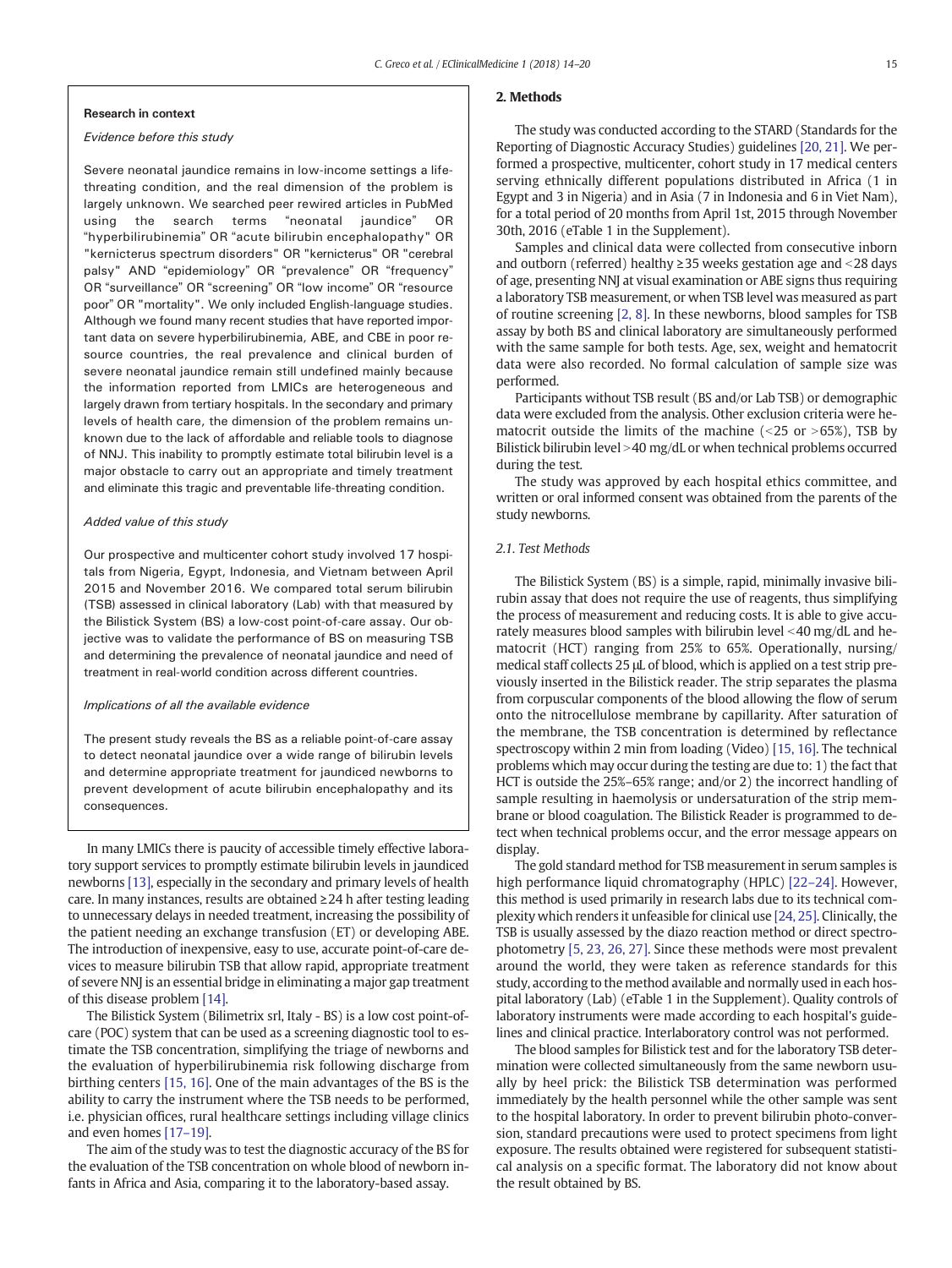#### Research in context

#### Evidence before this study

Severe neonatal jaundice remains in low-income settings a lifethreating condition, and the real dimension of the problem is largely unknown. We searched peer rewired articles in PubMed using the search terms "neonatal jaundice" OR "hyperbilirubinemia" OR "acute bilirubin encephalopathy" OR "kernicterus spectrum disorders" OR "kernicterus" OR "cerebral palsy" AND "epidemiology" OR "prevalence" OR "frequency" OR "surveillance" OR "screening" OR "low income" OR "resource poor" OR "mortality". We only included English-language studies. Although we found many recent studies that have reported important data on severe hyperbilirubinemia, ABE, and CBE in poor resource countries, the real prevalence and clinical burden of severe neonatal jaundice remain still undefined mainly because the information reported from LMICs are heterogeneous and largely drawn from tertiary hospitals. In the secondary and primary levels of health care, the dimension of the problem remains unknown due to the lack of affordable and reliable tools to diagnose of NNJ. This inability to promptly estimate total bilirubin level is a major obstacle to carry out an appropriate and timely treatment and eliminate this tragic and preventable life-threating condition.

#### Added value of this study

Our prospective and multicenter cohort study involved 17 hospitals from Nigeria, Egypt, Indonesia, and Vietnam between April 2015 and November 2016. We compared total serum bilirubin (TSB) assessed in clinical laboratory (Lab) with that measured by the Bilistick System (BS) a low-cost point-of-care assay. Our objective was to validate the performance of BS on measuring TSB and determining the prevalence of neonatal jaundice and need of treatment in real-world condition across different countries.

#### Implications of all the available evidence

The present study reveals the BS as a reliable point-of-care assay to detect neonatal jaundice over a wide range of bilirubin levels and determine appropriate treatment for jaundiced newborns to prevent development of acute bilirubin encephalopathy and its consequences.

In many LMICs there is paucity of accessible timely effective laboratory support services to promptly estimate bilirubin levels in jaundiced newborns [\[13\]](#page-6-0), especially in the secondary and primary levels of health care. In many instances, results are obtained ≥24 h after testing leading to unnecessary delays in needed treatment, increasing the possibility of the patient needing an exchange transfusion (ET) or developing ABE. The introduction of inexpensive, easy to use, accurate point-of-care devices to measure bilirubin TSB that allow rapid, appropriate treatment of severe NNJ is an essential bridge in eliminating a major gap treatment of this disease problem [\[14\]](#page-6-0).

The Bilistick System (Bilimetrix srl, Italy - BS) is a low cost point-ofcare (POC) system that can be used as a screening diagnostic tool to estimate the TSB concentration, simplifying the triage of newborns and the evaluation of hyperbilirubinemia risk following discharge from birthing centers [\[15, 16\].](#page-6-0) One of the main advantages of the BS is the ability to carry the instrument where the TSB needs to be performed, i.e. physician offices, rural healthcare settings including village clinics and even homes [17–[19\].](#page-6-0)

The aim of the study was to test the diagnostic accuracy of the BS for the evaluation of the TSB concentration on whole blood of newborn infants in Africa and Asia, comparing it to the laboratory-based assay.

# 2. Methods

The study was conducted according to the STARD (Standards for the Reporting of Diagnostic Accuracy Studies) guidelines [\[20, 21\]](#page-6-0). We performed a prospective, multicenter, cohort study in 17 medical centers serving ethnically different populations distributed in Africa (1 in Egypt and 3 in Nigeria) and in Asia (7 in Indonesia and 6 in Viet Nam), for a total period of 20 months from April 1st, 2015 through November 30th, 2016 (eTable 1 in the Supplement).

Samples and clinical data were collected from consecutive inborn and outborn (referred) healthy  $\geq$ 35 weeks gestation age and <28 days of age, presenting NNJ at visual examination or ABE signs thus requiring a laboratory TSB measurement, or when TSB level was measured as part of routine screening [\[2, 8\]](#page-6-0). In these newborns, blood samples for TSB assay by both BS and clinical laboratory are simultaneously performed with the same sample for both tests. Age, sex, weight and hematocrit data were also recorded. No formal calculation of sample size was performed.

Participants without TSB result (BS and/or Lab TSB) or demographic data were excluded from the analysis. Other exclusion criteria were hematocrit outside the limits of the machine  $(<25$  or  $>65\%)$ , TSB by Bilistick bilirubin level  $>40$  mg/dL or when technical problems occurred during the test.

The study was approved by each hospital ethics committee, and written or oral informed consent was obtained from the parents of the study newborns.

#### 2.1. Test Methods

The Bilistick System (BS) is a simple, rapid, minimally invasive bilirubin assay that does not require the use of reagents, thus simplifying the process of measurement and reducing costs. It is able to give accurately measures blood samples with bilirubin level  $\leq$ 40 mg/dL and hematocrit (HCT) ranging from 25% to 65%. Operationally, nursing/ medical staff collects 25 μL of blood, which is applied on a test strip previously inserted in the Bilistick reader. The strip separates the plasma from corpuscular components of the blood allowing the flow of serum onto the nitrocellulose membrane by capillarity. After saturation of the membrane, the TSB concentration is determined by reflectance spectroscopy within 2 min from loading (Video) [\[15, 16\].](#page-6-0) The technical problems which may occur during the testing are due to: 1) the fact that HCT is outside the 25%–65% range; and/or 2) the incorrect handling of sample resulting in haemolysis or undersaturation of the strip membrane or blood coagulation. The Bilistick Reader is programmed to detect when technical problems occur, and the error message appears on display.

The gold standard method for TSB measurement in serum samples is high performance liquid chromatography (HPLC) [22–[24\]](#page-6-0). However, this method is used primarily in research labs due to its technical complexity which renders it unfeasible for clinical use [\[24, 25\]](#page-6-0). Clinically, the TSB is usually assessed by the diazo reaction method or direct spectrophotometry [\[5, 23, 26, 27\]](#page-6-0). Since these methods were most prevalent around the world, they were taken as reference standards for this study, according to the method available and normally used in each hospital laboratory (Lab) (eTable 1 in the Supplement). Quality controls of laboratory instruments were made according to each hospital's guidelines and clinical practice. Interlaboratory control was not performed.

The blood samples for Bilistick test and for the laboratory TSB determination were collected simultaneously from the same newborn usually by heel prick: the Bilistick TSB determination was performed immediately by the health personnel while the other sample was sent to the hospital laboratory. In order to prevent bilirubin photo-conversion, standard precautions were used to protect specimens from light exposure. The results obtained were registered for subsequent statistical analysis on a specific format. The laboratory did not know about the result obtained by BS.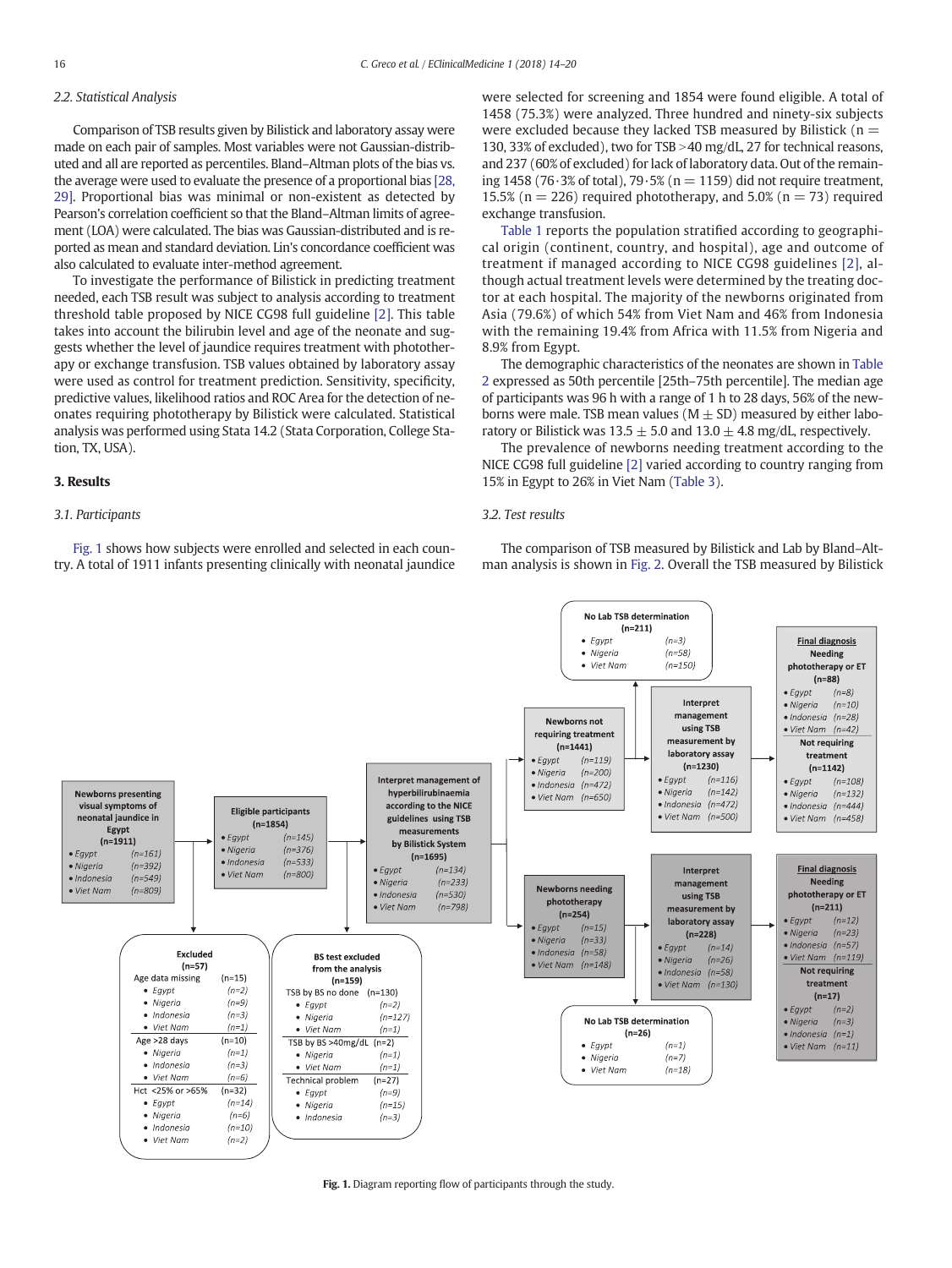# 2.2. Statistical Analysis

Comparison of TSB results given by Bilistick and laboratory assay were made on each pair of samples. Most variables were not Gaussian-distributed and all are reported as percentiles. Bland–Altman plots of the bias vs. the average were used to evaluate the presence of a proportional bias [\[28,](#page-6-0) [29\].](#page-6-0) Proportional bias was minimal or non-existent as detected by Pearson's correlation coefficient so that the Bland–Altman limits of agreement (LOA) were calculated. The bias was Gaussian-distributed and is reported as mean and standard deviation. Lin's concordance coefficient was also calculated to evaluate inter-method agreement.

To investigate the performance of Bilistick in predicting treatment needed, each TSB result was subject to analysis according to treatment threshold table proposed by NICE CG98 full guideline [\[2\].](#page-6-0) This table takes into account the bilirubin level and age of the neonate and suggests whether the level of jaundice requires treatment with phototherapy or exchange transfusion. TSB values obtained by laboratory assay were used as control for treatment prediction. Sensitivity, specificity, predictive values, likelihood ratios and ROC Area for the detection of neonates requiring phototherapy by Bilistick were calculated. Statistical analysis was performed using Stata 14.2 (Stata Corporation, College Station, TX, USA).

#### 3. Results

#### 3.1. Participants

Fig. 1 shows how subjects were enrolled and selected in each country. A total of 1911 infants presenting clinically with neonatal jaundice were selected for screening and 1854 were found eligible. A total of 1458 (75.3%) were analyzed. Three hundred and ninety-six subjects were excluded because they lacked TSB measured by Bilistick ( $n =$ 130, 33% of excluded), two for  $TSB > 40$  mg/dL, 27 for technical reasons, and 237 (60% of excluded) for lack of laboratory data. Out of the remaining 1458 (76 $\cdot$ 3% of total), 79 $\cdot$ 5% (n = 1159) did not require treatment, 15.5% ( $n = 226$ ) required phototherapy, and 5.0% ( $n = 73$ ) required exchange transfusion.

[Table 1](#page-3-0) reports the population stratified according to geographical origin (continent, country, and hospital), age and outcome of treatment if managed according to NICE CG98 guidelines [\[2\],](#page-6-0) although actual treatment levels were determined by the treating doctor at each hospital. The majority of the newborns originated from Asia (79.6%) of which 54% from Viet Nam and 46% from Indonesia with the remaining 19.4% from Africa with 11.5% from Nigeria and 8.9% from Egypt.

The demographic characteristics of the neonates are shown in [Table](#page-3-0) [2](#page-3-0) expressed as 50th percentile [25th–75th percentile]. The median age of participants was 96 h with a range of 1 h to 28 days, 56% of the newborns were male. TSB mean values ( $M \pm SD$ ) measured by either laboratory or Bilistick was  $13.5 \pm 5.0$  and  $13.0 \pm 4.8$  mg/dL, respectively.

The prevalence of newborns needing treatment according to the NICE CG98 full guideline [\[2\]](#page-6-0) varied according to country ranging from 15% in Egypt to 26% in Viet Nam [\(Table 3\)](#page-4-0).

#### 3.2. Test results

The comparison of TSB measured by Bilistick and Lab by Bland–Altman analysis is shown in [Fig. 2.](#page-4-0) Overall the TSB measured by Bilistick



Fig. 1. Diagram reporting flow of participants through the study.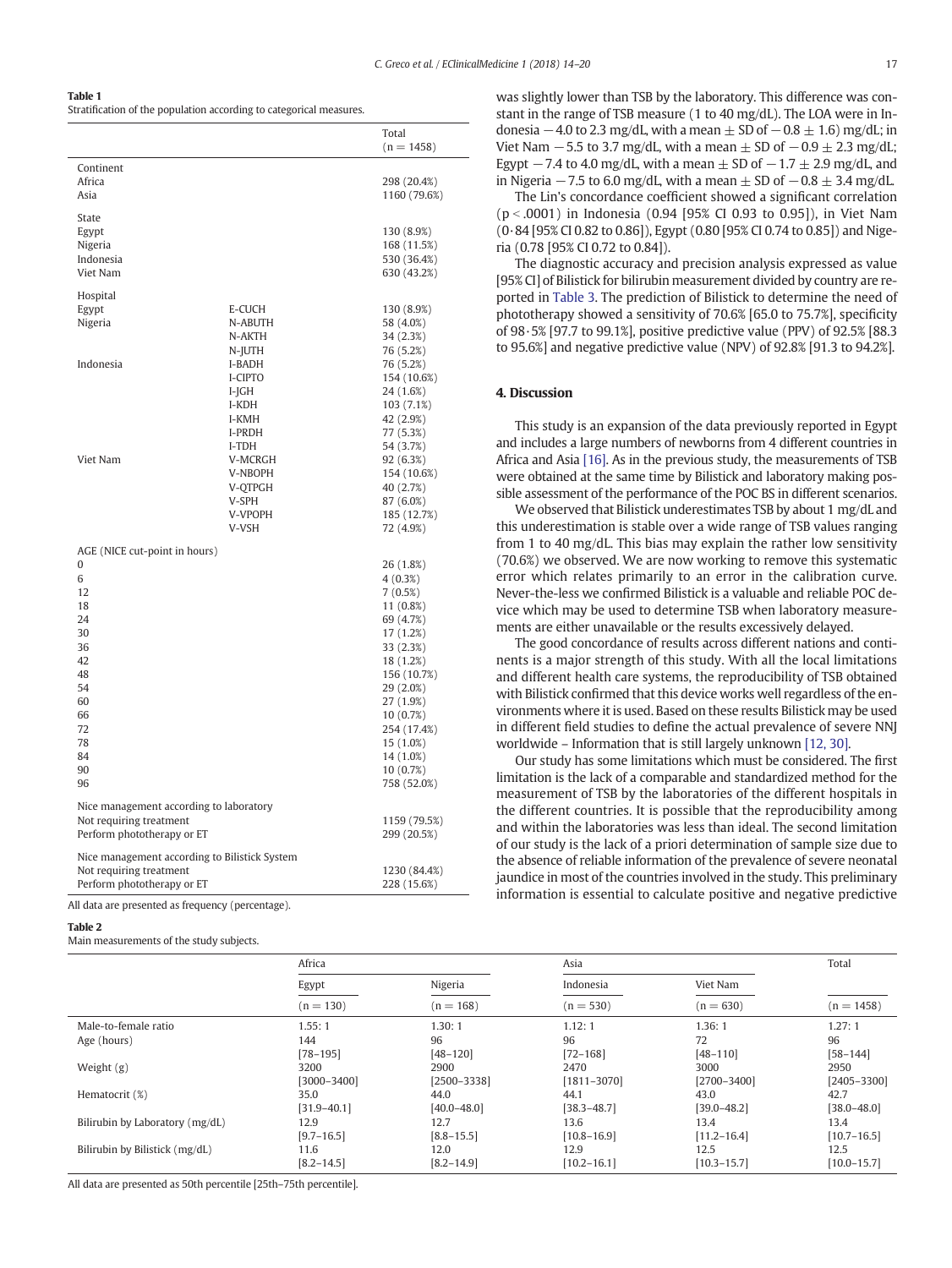#### <span id="page-3-0"></span>Table 1

Stratification of the population according to categorical measures.

|                                                                                                        |                                                                                                            | Total<br>$(n = 1458)$                                                                                                                                                                                                      |
|--------------------------------------------------------------------------------------------------------|------------------------------------------------------------------------------------------------------------|----------------------------------------------------------------------------------------------------------------------------------------------------------------------------------------------------------------------------|
| Continent<br>Africa<br>Asia                                                                            |                                                                                                            | 298 (20.4%)<br>1160 (79.6%)                                                                                                                                                                                                |
| State<br>Egypt<br>Nigeria<br>Indonesia<br>Viet Nam                                                     |                                                                                                            | 130 (8.9%)<br>168 (11.5%)<br>530 (36.4%)<br>630 (43.2%)                                                                                                                                                                    |
| Hospital<br>Egypt<br>Nigeria                                                                           | E-CUCH<br>N-ABUTH<br>N-AKTH                                                                                | 130 (8.9%)<br>58 (4.0%)<br>34 (2.3%)                                                                                                                                                                                       |
| Indonesia                                                                                              | N-JUTH<br>I-BADH<br>I-CIPTO                                                                                | 76 (5.2%)<br>76 (5.2%)<br>154 (10.6%)                                                                                                                                                                                      |
| Viet Nam                                                                                               | $I-JGH$<br>I-KDH<br>I-KMH<br>I-PRDH<br>I-TDH<br>V-MCRGH<br>V-NBOPH<br>V-QTPGH<br>V-SPH<br>V-VPOPH<br>V-VSH | 24 (1.6%)<br>103 (7.1%)<br>42 (2.9%)<br>77 (5.3%)<br>54 (3.7%)<br>92 (6.3%)<br>154 (10.6%)<br>40 (2.7%)<br>87 (6.0%)<br>185 (12.7%)<br>72 (4.9%)                                                                           |
| AGE (NICE cut-point in hours)                                                                          |                                                                                                            |                                                                                                                                                                                                                            |
| 0<br>6<br>12<br>18<br>24<br>30<br>36<br>42<br>48<br>54<br>60<br>66<br>72<br>78<br>84<br>90<br>96       |                                                                                                            | 26 (1.8%)<br>4(0.3%)<br>7(0.5%)<br>11 (0.8%)<br>69 (4.7%)<br>17 (1.2%)<br>33 (2.3%)<br>18 (1.2%)<br>156 (10.7%)<br>29 (2.0%)<br>27 (1.9%)<br>10 (0.7%)<br>254 (17.4%)<br>15 (1.0%)<br>14 (1.0%)<br>10(0.7%)<br>758 (52.0%) |
| Nice management according to laboratory<br>Not requiring treatment<br>Perform phototherapy or ET       | 1159 (79.5%)<br>299 (20.5%)                                                                                |                                                                                                                                                                                                                            |
| Nice management according to Bilistick System<br>Not requiring treatment<br>Perform phototherapy or ET |                                                                                                            | 1230 (84.4%)<br>228 (15.6%)                                                                                                                                                                                                |

All data are presented as frequency (percentage).

# Table 2

Main measurements of the study subjects.

was slightly lower than TSB by the laboratory. This difference was constant in the range of TSB measure (1 to 40 mg/dL). The LOA were in Indonesia  $-4.0$  to 2.3 mg/dL, with a mean  $\pm$  SD of  $-0.8 \pm 1.6$ ) mg/dL; in Viet Nam  $-5.5$  to 3.7 mg/dL, with a mean  $\pm$  SD of  $-0.9 \pm 2.3$  mg/dL; Egypt  $-7.4$  to 4.0 mg/dL, with a mean  $\pm$  SD of  $-1.7 \pm 2.9$  mg/dL, and in Nigeria  $-7.5$  to 6.0 mg/dL, with a mean  $\pm$  SD of  $-0.8 \pm 3.4$  mg/dL.

The Lin's concordance coefficient showed a significant correlation  $(p < .0001)$  in Indonesia (0.94 [95% CI 0.93 to 0.95]), in Viet Nam (0·84 [95% CI 0.82 to 0.86]), Egypt (0.80 [95% CI 0.74 to 0.85]) and Nigeria (0.78 [95% CI 0.72 to 0.84]).

The diagnostic accuracy and precision analysis expressed as value [95% CI] of Bilistick for bilirubin measurement divided by country are reported in [Table 3](#page-4-0). The prediction of Bilistick to determine the need of phototherapy showed a sensitivity of 70.6% [65.0 to 75.7%], specificity of 98·5% [97.7 to 99.1%], positive predictive value (PPV) of 92.5% [88.3 to 95.6%] and negative predictive value (NPV) of 92.8% [91.3 to 94.2%].

# 4. Discussion

This study is an expansion of the data previously reported in Egypt and includes a large numbers of newborns from 4 different countries in Africa and Asia [\[16\]](#page-6-0). As in the previous study, the measurements of TSB were obtained at the same time by Bilistick and laboratory making possible assessment of the performance of the POC BS in different scenarios.

We observed that Bilistick underestimates TSB by about 1 mg/dL and this underestimation is stable over a wide range of TSB values ranging from 1 to 40 mg/dL. This bias may explain the rather low sensitivity (70.6%) we observed. We are now working to remove this systematic error which relates primarily to an error in the calibration curve. Never-the-less we confirmed Bilistick is a valuable and reliable POC device which may be used to determine TSB when laboratory measurements are either unavailable or the results excessively delayed.

The good concordance of results across different nations and continents is a major strength of this study. With all the local limitations and different health care systems, the reproducibility of TSB obtained with Bilistick confirmed that this device works well regardless of the environments where it is used. Based on these results Bilistick may be used in different field studies to define the actual prevalence of severe NNJ worldwide – Information that is still largely unknown [\[12, 30\].](#page-6-0)

Our study has some limitations which must be considered. The first limitation is the lack of a comparable and standardized method for the measurement of TSB by the laboratories of the different hospitals in the different countries. It is possible that the reproducibility among and within the laboratories was less than ideal. The second limitation of our study is the lack of a priori determination of sample size due to the absence of reliable information of the prevalence of severe neonatal jaundice in most of the countries involved in the study. This preliminary information is essential to calculate positive and negative predictive

|                                 | Africa                                  |                                         | Asia                                    |                                         | Total                                   |
|---------------------------------|-----------------------------------------|-----------------------------------------|-----------------------------------------|-----------------------------------------|-----------------------------------------|
|                                 | Egypt                                   | Nigeria                                 | Indonesia                               | Viet Nam                                |                                         |
|                                 | $(n = 130)$                             | $(n = 168)$                             | $(n = 530)$                             | $(n = 630)$                             | $(n = 1458)$                            |
| Male-to-female ratio            | 1.55:1                                  | 1.30:1                                  | 1.12:1                                  | 1.36:1                                  | 1.27:1                                  |
| Age (hours)                     | 144                                     | 96                                      | 96                                      | 72                                      | 96                                      |
| Weight $(g)$                    | $[78 - 195]$<br>3200<br>$[3000 - 3400]$ | $[48 - 120]$<br>2900<br>$[2500 - 3338]$ | $[72 - 168]$<br>2470<br>$[1811 - 3070]$ | $[48 - 110]$<br>3000<br>$[2700 - 3400]$ | $[58 - 144]$<br>2950<br>$[2405 - 3300]$ |
| Hematocrit (%)                  | 35.0<br>$[31.9 - 40.1]$                 | 44.0<br>$[40.0 - 48.0]$                 | 44.1<br>$[38.3 - 48.7]$                 | 43.0<br>$[39.0 - 48.2]$                 | 42.7<br>$[38.0 - 48.0]$                 |
| Bilirubin by Laboratory (mg/dL) | 12.9<br>$[9.7 - 16.5]$                  | 12.7<br>$[8.8 - 15.5]$                  | 13.6<br>$[10.8 - 16.9]$                 | 13.4<br>$[11.2 - 16.4]$                 | 13.4<br>$[10.7 - 16.5]$                 |
| Bilirubin by Bilistick (mg/dL)  | 11.6<br>$[8.2 - 14.5]$                  | 12.0<br>$[8.2 - 14.9]$                  | 12.9<br>$[10.2 - 16.1]$                 | 12.5<br>$[10.3 - 15.7]$                 | 12.5<br>$[10.0 - 15.7]$                 |

All data are presented as 50th percentile [25th–75th percentile].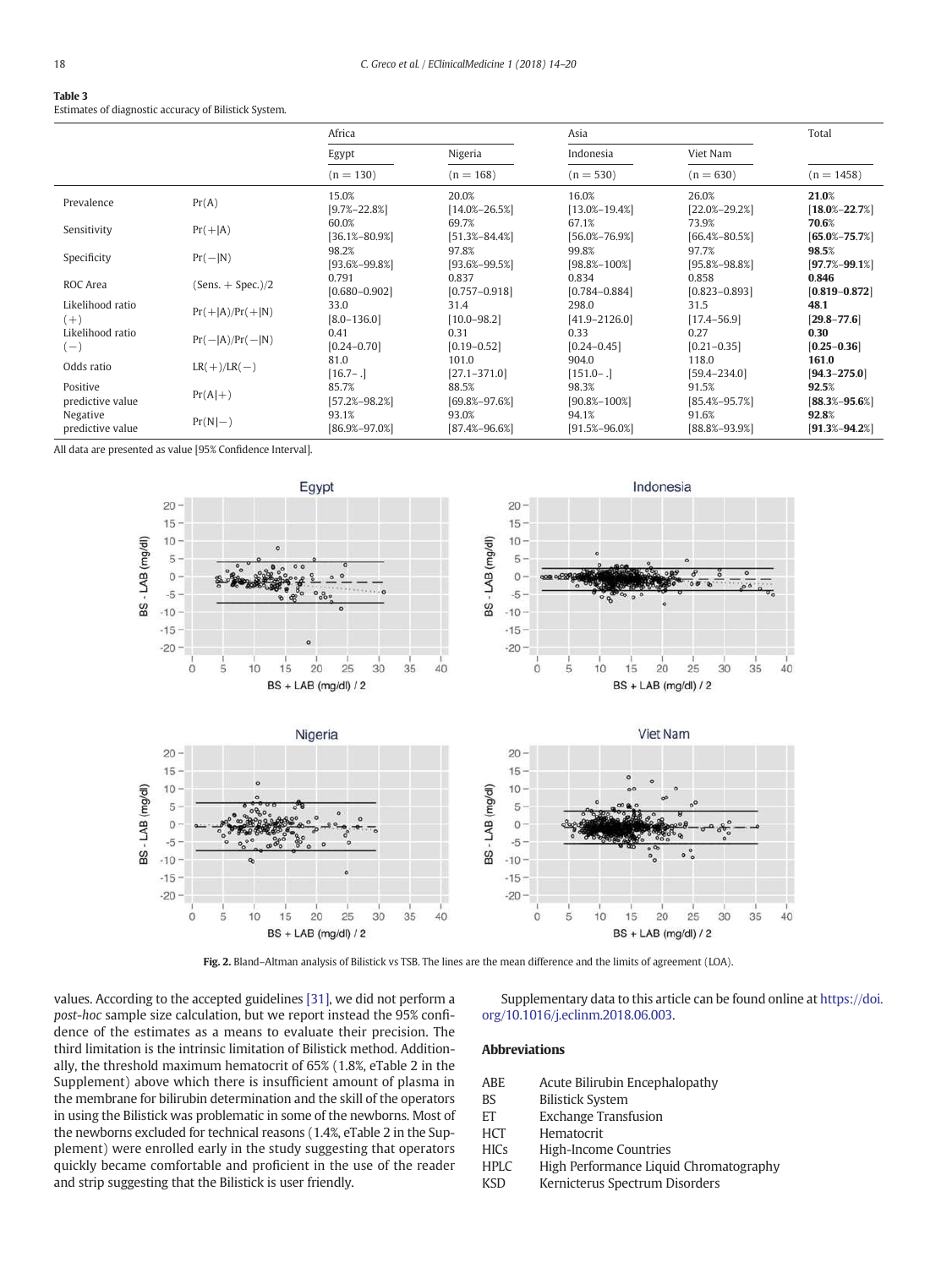# <span id="page-4-0"></span>Table 3

Estimates of diagnostic accuracy of Bilistick System.

|                              |                     | Africa                       |                              | Asia                         |                              | Total                        |
|------------------------------|---------------------|------------------------------|------------------------------|------------------------------|------------------------------|------------------------------|
|                              |                     | Egypt                        | Nigeria                      | Indonesia                    | Viet Nam                     |                              |
|                              |                     | $(n = 130)$                  | $(n = 168)$                  | $(n = 530)$                  | $(n = 630)$                  | $(n = 1458)$                 |
| Prevalence                   | Pr(A)               | 15.0%<br>$[9.7\% - 22.8\%]$  | 20.0%<br>$[14.0\% - 26.5\%]$ | 16.0%<br>$[13.0\% - 19.4\%]$ | 26.0%<br>$[22.0\% - 29.2\%]$ | 21.0%<br>$[18.0\% - 22.7\%]$ |
| Sensitivity                  | $Pr(+ A)$           | 60.0%<br>$[36.1\% - 80.9\%]$ | 69.7%<br>$[51.3\% - 84.4\%]$ | 67.1%<br>$[56.0\% - 76.9\%]$ | 73.9%<br>$[66.4\% - 80.5\%]$ | 70.6%<br>$[65.0\% - 75.7\%]$ |
| Specificity                  | $Pr(- N)$           | 98.2%<br>$[93.6\% - 99.8\%]$ | 97.8%<br>$[93.6\% - 99.5\%]$ | 99.8%<br>$[98.8\% - 100\%]$  | 97.7%<br>$[95.8\% - 98.8\%]$ | 98.5%<br>$[97.7\% - 99.1\%]$ |
| ROC Area                     | $(Sens. + Spec.)/2$ | 0.791<br>$[0.680 - 0.902]$   | 0.837<br>$[0.757 - 0.918]$   | 0.834<br>$[0.784 - 0.884]$   | 0.858<br>$[0.823 - 0.893]$   | 0.846<br>$[0.819 - 0.872]$   |
| Likelihood ratio<br>$(+)$    | $Pr(+ A)/Pr(+ N)$   | 33.0<br>$[8.0 - 136.0]$      | 31.4<br>$[10.0 - 98.2]$      | 298.0<br>$[41.9 - 2126.0]$   | 31.5<br>$[17.4 - 56.9]$      | 48.1<br>$[29.8 - 77.6]$      |
| Likelihood ratio<br>$(-)$    | $Pr(- A)/Pr(- N)$   | 0.41<br>$[0.24 - 0.70]$      | 0.31<br>$[0.19 - 0.52]$      | 0.33<br>$[0.24 - 0.45]$      | 0.27<br>$[0.21 - 0.35]$      | 0.30<br>$[0.25 - 0.36]$      |
| Odds ratio                   | $LR(+)/LR(-)$       | 81.0<br>$[16.7 - .]$         | 101.0<br>$[27.1 - 371.0]$    | 904.0<br>$[151.0-.]$         | 118.0<br>$[59.4 - 234.0]$    | 161.0<br>$[94.3 - 275.0]$    |
| Positive<br>predictive value | $Pr(A +)$           | 85.7%<br>$[57.2% - 98.2%]$   | 88.5%<br>$[69.8\% - 97.6\%]$ | 98.3%<br>$[90.8\% - 100\%]$  | 91.5%<br>$[85.4\% - 95.7\%]$ | 92.5%<br>$[88.3\% - 95.6\%]$ |
| Negative<br>predictive value | $Pr(N -)$           | 93.1%<br>$[86.9\% - 97.0\%]$ | 93.0%<br>$[87.4\% - 96.6\%]$ | 94.1%<br>$[91.5\% - 96.0\%]$ | 91.6%<br>$[88.8% - 93.9%]$   | 92.8%<br>$[91.3\% - 94.2\%]$ |

All data are presented as value [95% Confidence Interval].



Fig. 2. Bland-Altman analysis of Bilistick vs TSB. The lines are the mean difference and the limits of agreement (LOA).

values. According to the accepted guidelines [\[31\]](#page-6-0), we did not perform a post-hoc sample size calculation, but we report instead the 95% confidence of the estimates as a means to evaluate their precision. The third limitation is the intrinsic limitation of Bilistick method. Additionally, the threshold maximum hematocrit of 65% (1.8%, eTable 2 in the Supplement) above which there is insufficient amount of plasma in the membrane for bilirubin determination and the skill of the operators in using the Bilistick was problematic in some of the newborns. Most of the newborns excluded for technical reasons (1.4%, eTable 2 in the Supplement) were enrolled early in the study suggesting that operators quickly became comfortable and proficient in the use of the reader and strip suggesting that the Bilistick is user friendly.

Supplementary data to this article can be found online at [https://doi.](https://doi.org/10.1016/j.eclinm.2018.06.003) [org/10.1016/j.eclinm.2018.06.003.](https://doi.org/10.1016/j.eclinm.2018.06.003)

#### Abbreviations

- ABE Acute Bilirubin Encephalopathy
- BS Bilistick System
- ET Exchange Transfusion
- HCT Hematocrit
- HICs High-Income Countries
- HPLC High Performance Liquid Chromatography
- KSD Kernicterus Spectrum Disorders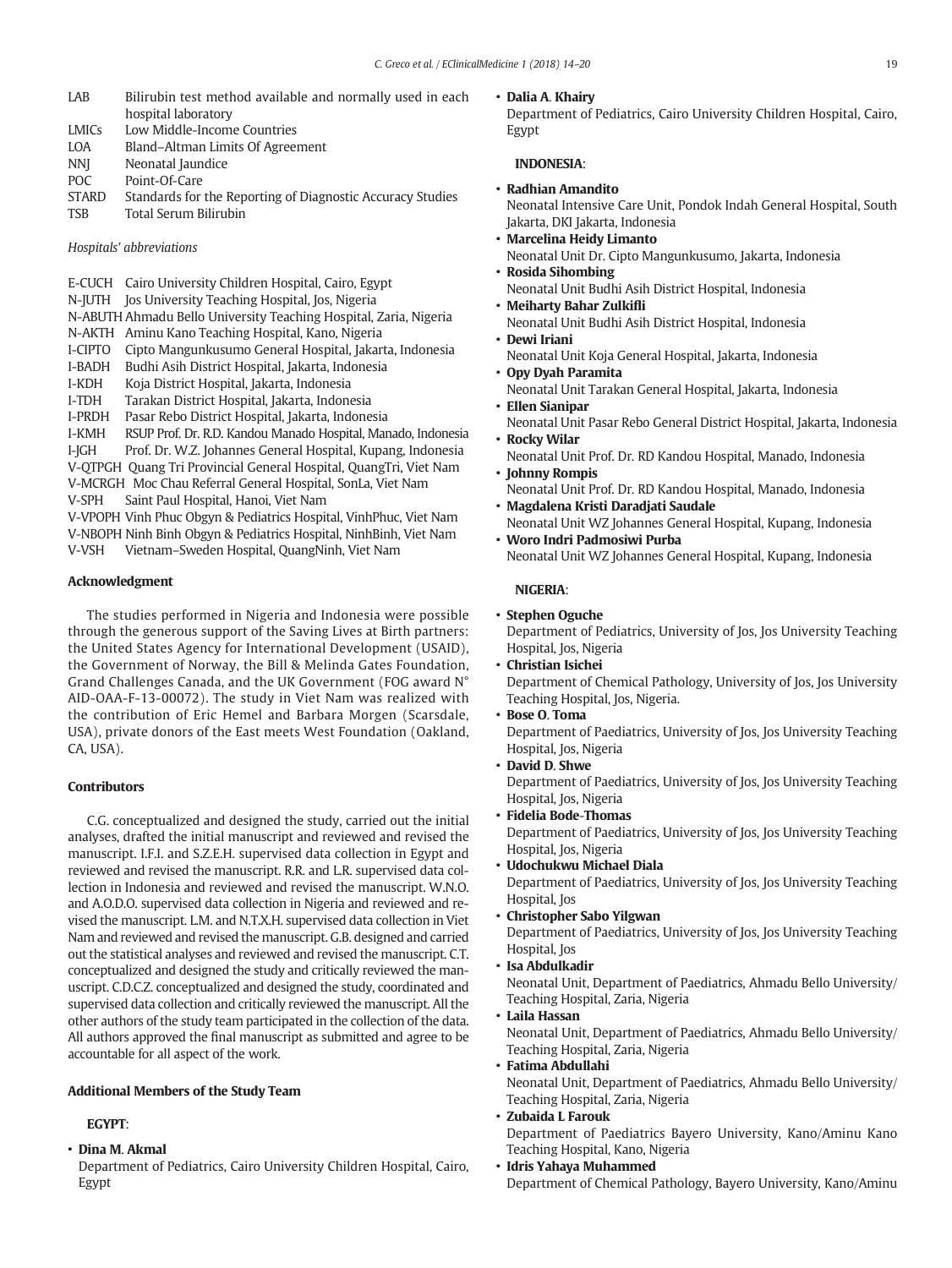LAB Bilirubin test method available and normally used in each hospital laboratory

| LMICs                |    |  | Low Middle-Income Countries |
|----------------------|----|--|-----------------------------|
| $\sim$ $\sim$ $\sim$ | -1 |  |                             |

- LOA Bland–Altman Limits Of Agreement
- NNJ Neonatal Jaundice
- POC Point-Of-Care
- STARD Standards for the Reporting of Diagnostic Accuracy Studies TSB Total Serum Bilirubin

# Hospitals' abbreviations

- E-CUCH Cairo University Children Hospital, Cairo, Egypt
- N-JUTH Jos University Teaching Hospital, Jos, Nigeria

N-ABUTH Ahmadu Bello University Teaching Hospital, Zaria, Nigeria

- N-AKTH Aminu Kano Teaching Hospital, Kano, Nigeria
- I-CIPTO Cipto Mangunkusumo General Hospital, Jakarta, Indonesia
- I-BADH Budhi Asih District Hospital, Jakarta, Indonesia
- I-KDH Koja District Hospital, Jakarta, Indonesia

I-TDH Tarakan District Hospital, Jakarta, Indonesia

I-PRDH Pasar Rebo District Hospital, Jakarta, Indonesia

I-KMH RSUP Prof. Dr. R.D. Kandou Manado Hospital, Manado, Indonesia

I-JGH Prof. Dr. W.Z. Johannes General Hospital, Kupang, Indonesia V-QTPGH Quang Tri Provincial General Hospital, QuangTri, Viet Nam

V-MCRGH Moc Chau Referral General Hospital, SonLa, Viet Nam V-SPH Saint Paul Hospital, Hanoi, Viet Nam

V-VPOPH Vinh Phuc Obgyn & Pediatrics Hospital, VinhPhuc, Viet Nam V-NBOPH Ninh Binh Obgyn & Pediatrics Hospital, NinhBinh, Viet Nam V-VSH Vietnam–Sweden Hospital, QuangNinh, Viet Nam

# Acknowledgment

The studies performed in Nigeria and Indonesia were possible through the generous support of the Saving Lives at Birth partners: the United States Agency for International Development (USAID), the Government of Norway, the Bill & Melinda Gates Foundation, Grand Challenges Canada, and the UK Government (FOG award N° AID-OAA-F-13-00072). The study in Viet Nam was realized with the contribution of Eric Hemel and Barbara Morgen (Scarsdale, USA), private donors of the East meets West Foundation (Oakland, CA, USA).

# Contributors

C.G. conceptualized and designed the study, carried out the initial analyses, drafted the initial manuscript and reviewed and revised the manuscript. I.F.I. and S.Z.E.H. supervised data collection in Egypt and reviewed and revised the manuscript. R.R. and L.R. supervised data collection in Indonesia and reviewed and revised the manuscript. W.N.O. and A.O.D.O. supervised data collection in Nigeria and reviewed and revised the manuscript. L.M. and N.T.X.H. supervised data collection in Viet Nam and reviewed and revised the manuscript. G.B. designed and carried out the statistical analyses and reviewed and revised the manuscript. C.T. conceptualized and designed the study and critically reviewed the manuscript. C.D.C.Z. conceptualized and designed the study, coordinated and supervised data collection and critically reviewed the manuscript. All the other authors of the study team participated in the collection of the data. All authors approved the final manuscript as submitted and agree to be accountable for all aspect of the work.

# Additional Members of the Study Team

# EGYPT:

# • Dina M. Akmal

Department of Pediatrics, Cairo University Children Hospital, Cairo, Egypt

# • Dalia A. Khairy

Department of Pediatrics, Cairo University Children Hospital, Cairo, Egypt

# INDONESIA:

# • Radhian Amandito

Neonatal Intensive Care Unit, Pondok Indah General Hospital, South Jakarta, DKI Jakarta, Indonesia

- Marcelina Heidy Limanto Neonatal Unit Dr. Cipto Mangunkusumo, Jakarta, Indonesia
- Rosida Sihombing Neonatal Unit Budhi Asih District Hospital, Indonesia
- Meiharty Bahar Zulkifli Neonatal Unit Budhi Asih District Hospital, Indonesia
- Dewi Iriani Neonatal Unit Koja General Hospital, Jakarta, Indonesia • Opy Dyah Paramita
- Neonatal Unit Tarakan General Hospital, Jakarta, Indonesia
- Ellen Sianipar
- Neonatal Unit Pasar Rebo General District Hospital, Jakarta, Indonesia • Rocky Wilar
- Neonatal Unit Prof. Dr. RD Kandou Hospital, Manado, Indonesia • Johnny Rompis
- Neonatal Unit Prof. Dr. RD Kandou Hospital, Manado, Indonesia • Magdalena Kristi Daradjati Saudale
- Neonatal Unit WZ Johannes General Hospital, Kupang, Indonesia • Woro Indri Padmosiwi Purba
- Neonatal Unit WZ Johannes General Hospital, Kupang, Indonesia

# NIGERIA:

• Stephen Oguche

Department of Pediatrics, University of Jos, Jos University Teaching Hospital, Jos, Nigeria

- Christian Isichei Department of Chemical Pathology, University of Jos, Jos University Teaching Hospital, Jos, Nigeria.
- Bose O. Toma

- David D. Shwe Department of Paediatrics, University of Jos, Jos University Teaching Hospital, Jos, Nigeria
- Fidelia Bode-Thomas Department of Paediatrics, University of Jos, Jos University Teaching Hospital, Jos, Nigeria
- Udochukwu Michael Diala Department of Paediatrics, University of Jos, Jos University Teaching Hospital, Jos
- Christopher Sabo Yilgwan Department of Paediatrics, University of Jos, Jos University Teaching Hospital, Jos
- Isa Abdulkadir

Neonatal Unit, Department of Paediatrics, Ahmadu Bello University/ Teaching Hospital, Zaria, Nigeria

- Laila Hassan Neonatal Unit, Department of Paediatrics, Ahmadu Bello University/ Teaching Hospital, Zaria, Nigeria
- Fatima Abdullahi Neonatal Unit, Department of Paediatrics, Ahmadu Bello University/ Teaching Hospital, Zaria, Nigeria
- Zubaida L Farouk Department of Paediatrics Bayero University, Kano/Aminu Kano Teaching Hospital, Kano, Nigeria
- Idris Yahaya Muhammed Department of Chemical Pathology, Bayero University, Kano/Aminu

Department of Paediatrics, University of Jos, Jos University Teaching Hospital, Jos, Nigeria